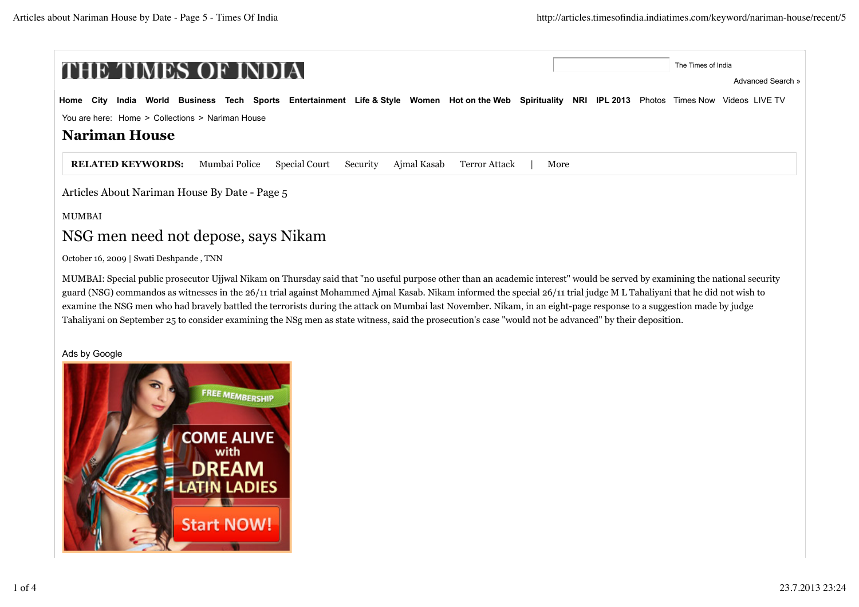| THE TIMES OF INDIA                                                                                                                                      |      | The Times of India |
|---------------------------------------------------------------------------------------------------------------------------------------------------------|------|--------------------|
|                                                                                                                                                         |      | Advanced Search »  |
| India World Business Tech Sports Entertainment Life & Style Women Hot on the Web Spirituality NRI IPL 2013 Photos Times Now Videos LIVE TV<br>Home City |      |                    |
| You are here: Home > Collections > Nariman House                                                                                                        |      |                    |
| <b>Nariman House</b>                                                                                                                                    |      |                    |
| <b>RELATED KEYWORDS:</b><br>Special Court<br>Ajmal Kasab<br>Mumbai Police<br>Security<br>Terror Attack                                                  | More |                    |
| Articles About Nariman House By Date - Page 5                                                                                                           |      |                    |
| <b>MUMBAI</b>                                                                                                                                           |      |                    |
| NSG men need not depose, says Nikam                                                                                                                     |      |                    |

October 16, 2009 | Swati Deshpande , TNN

MUMBAI: Special public prosecutor Ujjwal Nikam on Thursday said that "no useful purpose other than an academic interest" would be served by examining the national security guard (NSG) commandos as witnesses in the 26/11 trial against Mohammed Ajmal Kasab. Nikam informed the special 26/11 trial judge M L Tahaliyani that he did not wish to examine the NSG men who had bravely battled the terrorists during the attack on Mumbai last November. Nikam, in an eight-page response to a suggestion made by judge Tahaliyani on September 25 to consider examining the NSg men as state witness, said the prosecution's case "would not be advanced" by their deposition.

#### Ads by Google

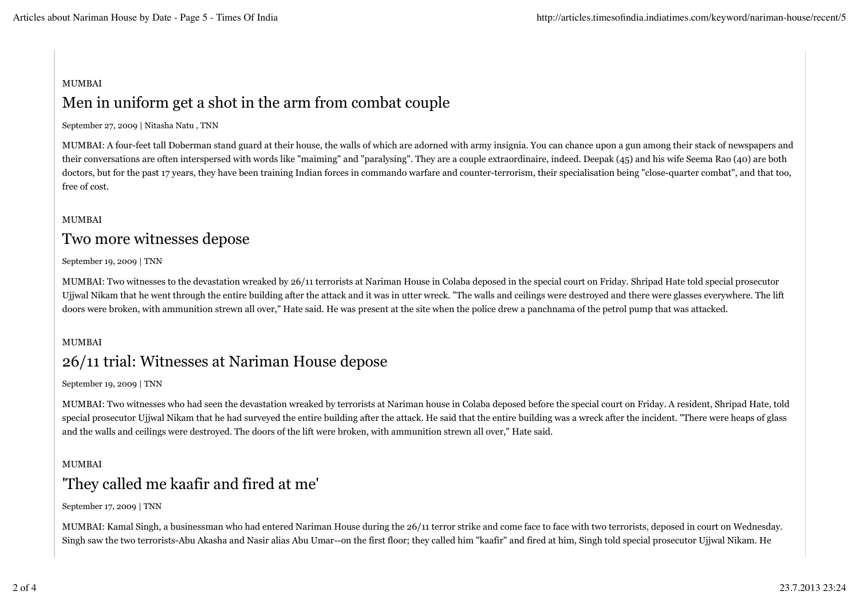### MUMBAI

# Men in uniform get a shot in the arm from combat couple

#### September 27, 2009 | Nitasha Natu , TNN

MUMBAI: A four-feet tall Doberman stand guard at their house, the walls of which are adorned with army insignia. You can chance upon a gun among their stack of newspapers and their conversations are often interspersed with words like "maiming" and "paralysing". They are a couple extraordinaire, indeed. Deepak (45) and his wife Seema Rao (40) are both doctors, but for the past 17 years, they have been training Indian forces in commando warfare and counter-terrorism, their specialisation being "close-quarter combat", and that too, free of cost.

#### MUMBAI

## Two more witnesses depose

#### September 19, 2009 | TNN

MUMBAI: Two witnesses to the devastation wreaked by 26/11 terrorists at Nariman House in Colaba deposed in the special court on Friday. Shripad Hate told special prosecutor Ujjwal Nikam that he went through the entire building after the attack and it was in utter wreck. "The walls and ceilings were destroyed and there were glasses everywhere. The lift doors were broken, with ammunition strewn all over," Hate said. He was present at the site when the police drew a panchnama of the petrol pump that was attacked.

#### MUMBAI

# 26/11 trial: Witnesses at Nariman House depose

#### September 19, 2009 | TNN

MUMBAI: Two witnesses who had seen the devastation wreaked by terrorists at Nariman house in Colaba deposed before the special court on Friday. A resident, Shripad Hate, told special prosecutor Ujjwal Nikam that he had surveyed the entire building after the attack. He said that the entire building was a wreck after the incident. "There were heaps of glass and the walls and ceilings were destroyed. The doors of the lift were broken, with ammunition strewn all over," Hate said.

### MUMBAI 'They called me kaafir and fired at me'

#### September 17, 2009 | TNN

MUMBAI: Kamal Singh, a businessman who had entered Nariman House during the 26/11 terror strike and come face to face with two terrorists, deposed in court on Wednesday. Singh saw the two terrorists-Abu Akasha and Nasir alias Abu Umar--on the first floor; they called him "kaafir" and fired at him, Singh told special prosecutor Ujjwal Nikam. He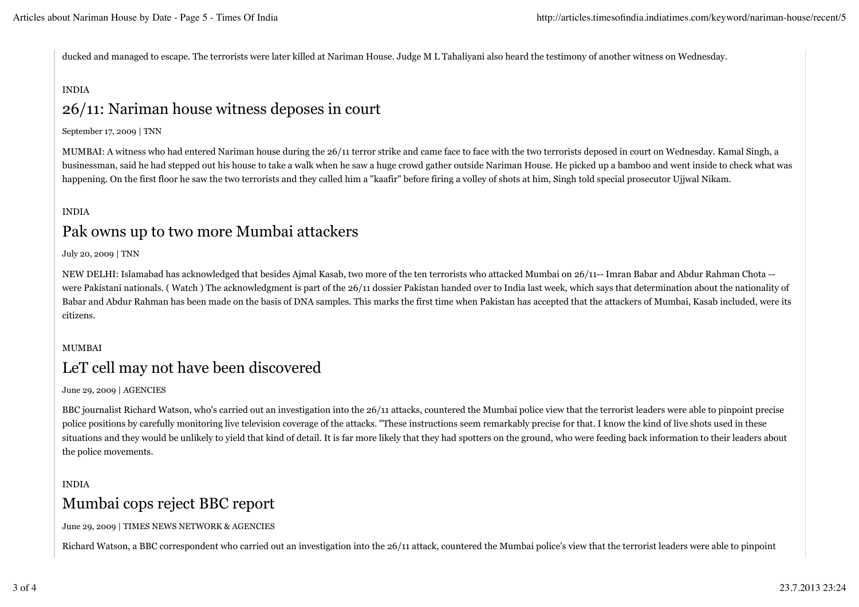ducked and managed to escape. The terrorists were later killed at Nariman House. Judge M L Tahaliyani also heard the testimony of another witness on Wednesday.

#### INDIA

# 26/11: Nariman house witness deposes in court

#### September 17, 2009 | TNN

MUMBAI: A witness who had entered Nariman house during the 26/11 terror strike and came face to face with the two terrorists deposed in court on Wednesday. Kamal Singh, a businessman, said he had stepped out his house to take a walk when he saw a huge crowd gather outside Nariman House. He picked up a bamboo and went inside to check what was happening. On the first floor he saw the two terrorists and they called him a "kaafir" before firing a volley of shots at him, Singh told special prosecutor Ujjwal Nikam.

### INDIA Pak owns up to two more Mumbai attackers

July 20, 2009 | TNN

NEW DELHI: Islamabad has acknowledged that besides Ajmal Kasab, two more of the ten terrorists who attacked Mumbai on 26/11-- Imran Babar and Abdur Rahman Chota - were Pakistani nationals. (Watch) The acknowledgment is part of the 26/11 dossier Pakistan handed over to India last week, which says that determination about the nationality of Babar and Abdur Rahman has been made on the basis of DNA samples. This marks the first time when Pakistan has accepted that the attackers of Mumbai, Kasab included, were its citizens.

### MUMBAI LeT cell may not have been discovered

June 29, 2009 | AGENCIES

BBC journalist Richard Watson, who's carried out an investigation into the 26/11 attacks, countered the Mumbai police view that the terrorist leaders were able to pinpoint precise police positions by carefully monitoring live television coverage of the attacks. "These instructions seem remarkably precise for that. I know the kind of live shots used in these situations and they would be unlikely to yield that kind of detail. It is far more likely that they had spotters on the ground, who were feeding back information to their leaders about the police movements.

#### INDIA

# Mumbai cops reject BBC report

June 29, 2009 | TIMES NEWS NETWORK & AGENCIES

Richard Watson, a BBC correspondent who carried out an investigation into the 26/11 attack, countered the Mumbai police's view that the terrorist leaders were able to pinpoint